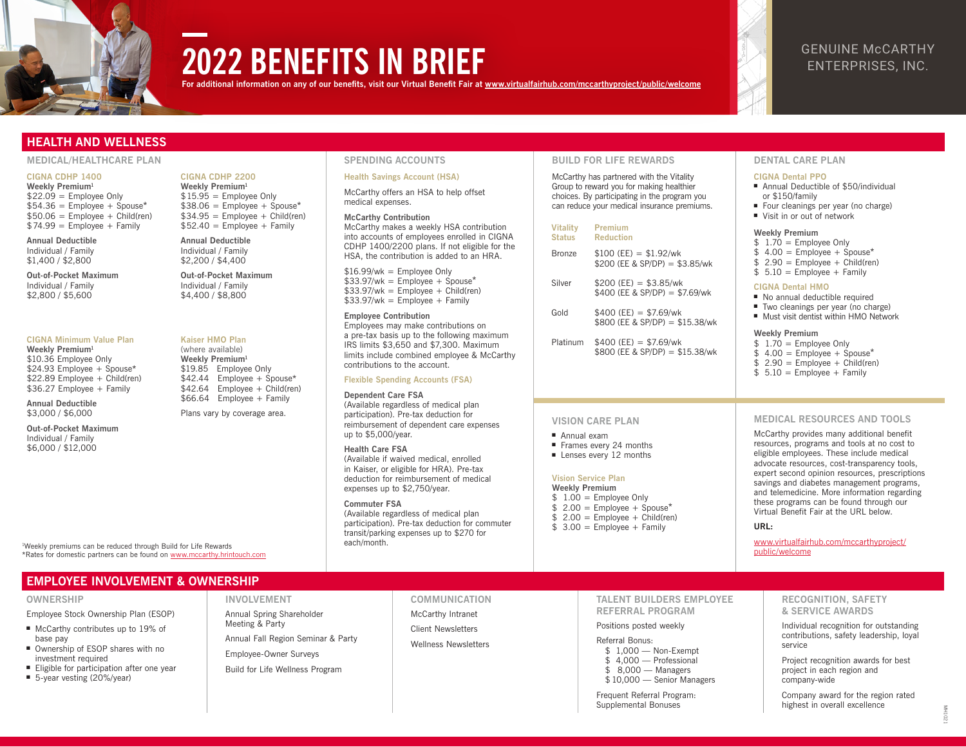

# **2022 BENEFITS IN BRIEF**

**For additional information on any of our benefits, visit our Virtual Benefit Fair at [www.virtualfairhub.com/mccarthyproject/public/welcome](https://www.virtualfairhub.com/mccarthyproject/public/welcome)**

# GENUINE McCARTHY ENTERPRISES, INC.

## **HEALTH AND WELLNESS**

#### **MEDICAL/HEALTHCARE PLAN SPENDING ACCOUNTS BUILD FOR LIFE REWARDS DENTAL CARE PLAN**

#### **CIGNA CDHP 1400**

**Weekly Premium1**  $$22.09 =$  Employee Only  $$54.36 =$  Employee + Spouse\*  $$50.06 =$  Employee + Child(ren)  $$74.99 =$  Employee + Family

**Annual Deductible** Individual / Family \$1,400 / \$2,800

**Out-of-Pocket Maximum** Individual / Family \$2,800 / \$5,600

#### **CIGNA Minimum Value Plan**

**Weekly Premium1** \$10.36 Employee Only \$24.93 Employee + Spouse\* \$22.89 Employee + Child(ren) \$36.27 Employee + Family

**Annual Deductible** \$3,000 / \$6,000

**Out-of-Pocket Maximum** Individual / Family \$6,000 / \$12,000

**Weekly Premium1** \$19.85 Employee Only

\$42.44 Employee + Spouse\* \$42.64 Employee + Child(ren) \$66.64 Employee + Family

Plans vary by coverage area.

**CIGNA CDHP 2200 Weekly Premium1**  $$15.95 =$  Employee Only  $$38.06 =$  Employee + Spouse\*  $$34.95 =$  Employee + Child(ren)  $$52.40 =$  Employee + Family

**Annual Deductible** Individual / Family \$2,200 / \$4,400 **Out-of-Pocket Maximum** Individual / Family \$4,400 / \$8,800

**Kaiser HMO Plan** (where available)

#### **Health Savings Account (HSA)**

McCarthy offers an HSA to help offset medical expenses.

**McCarthy Contribution** McCarthy makes a weekly HSA contribution into accounts of employees enrolled in CIGNA CDHP 1400/2200 plans. If not eligible for the HSA, the contribution is added to an HRA.

 $$16.99/wk =$  Employee Only  $$33.97/wk =$  Employee + Spouse\*  $$33.97/wk = Employee + Child(ren)$  $$33.97/wk = Employee + Family$ 

**Employee Contribution** Employees may make contributions on a pre-tax basis up to the following maximum IRS limits \$3,650 and \$7,300. Maximum limits include combined employee & McCarthy contributions to the account.

#### **Flexible Spending Accounts (FSA)**

#### **Dependent Care FSA**

(Available regardless of medical plan participation). Pre-tax deduction for reimbursement of dependent care expenses up to \$5,000/year.

#### **Health Care FSA**

(Available if waived medical, enrolled in Kaiser, or eligible for HRA). Pre-tax deduction for reimbursement of medical expenses up to \$2,750/year.

(Available regardless of medical plan participation). Pre-tax deduction for commuter transit/parking expenses up to \$270 for each/month.

McCarthy has partnered with the Vitality Group to reward you for making healthier choices. By participating in the program you can reduce your medical insurance premiums.

#### **Vitality Status Premium Reduction**

| Bronze | $$100$ (EE) = \$1.92/wk | \$200 (EE & SP/DP) = \$3.85/wk |
|--------|-------------------------|--------------------------------|
|        | $A$ $0$ $0$ $(0, 0)$    | $A \cap \cap \Gamma$           |

- $Silver$   $$200 (EE) = $3.85/wk$ \$400 (EE & SP/DP) = \$7.69/wk
- $Gold$   $$400 (FE) = $7.69/wk$ \$800 (EE & SP/DP) = \$15.38/wk
- Platinum \$400 (EE) = \$7.69/wk \$800 (FE & SP/DP) = \$15.38/wk

#### **CIGNA Dental PPO**

- Annual Deductible of \$50/individual or \$150/family
- Four cleanings per year (no charge) ■ Visit in or out of network

#### **Weekly Premium**

- $$ 1.70 =$  Employee Only
- $$ 4.00 =$  Employee + Spouse<sup>\*</sup>
- $$ 2.90 =$  Employee + Child(ren)
- $$ 5.10 =$  Employee + Family

### **CIGNA Dental HMO**

- No annual deductible required
- Two cleanings per year (no charge) ■ Must visit dentist within HMO Network
- 

#### **Weekly Premium**

- $$ 1.70 =$  Employee Only
- $$ 4.00 =$  Employee + Spouse<sup>\*</sup>
- $$ 2.90 =$  Employee + Child(ren)
- $$ 5.10 =$  Employee + Family

#### **MEDICAL RESOURCES AND TOOLS**

McCarthy provides many additional benefit resources, programs and tools at no cost to eligible employees. These include medical advocate resources, cost-transparency tools, expert second opinion resources, prescriptions savings and diabetes management programs, and telemedicine. More information regarding these programs can be found through our Virtual Benefit Fair at the URL below.

#### **URL:**

[www.virtualfairhub.com/mccarthyproject/](http://www.virtualfairhub.com/mccarthyproject/public/welcome)<br>public/welcome

# **EMPLOYEE INVOLVEMENT & OWNERSHIP**

<sup>1</sup>Weekly premiums can be reduced through Build for Life Rewards

#### **OWNERSHIP**

Employee Stock Ownership Plan (ESOP)

- McCarthy contributes up to 19% of base pay
- Ownership of ESOP shares with no investment required
- Eligible for participation after one year
- 5-year vesting (20%/year)

### **INVOLVEMENT**

Annual Spring Shareholder Meeting & Party

Annual Fall Region Seminar & Party

Employee-Owner Surveys

Build for Life Wellness Program

#### **COMMUNICATION**

McCarthy Intranet Client Newsletters

Wellness Newsletters

### **TALENT BUILDERS EMPLOYEE REFERRAL PROGRAM**

#### Positions posted weekly

Referral Bonus: \$ 1,000 — Non-Exempt \$ 4,000 — Professional \$ 8,000 — Managers \$ 10,000 — Senior Managers

Frequent Referral Program: Supplemental Bonuses

#### **RECOGNITION, SAFETY & SERVICE AWARDS**

Individual recognition for outstanding contributions, safety leadership, loyal service

Project recognition awards for best project in each region and company-wide

Company award for the region rated highest in overall excellence

# MH1021

### **VISION CARE PLAN** ■ Annual exam ■ Frames every 24 months ■ Lenses every 12 months **Vision Service Plan Weekly Premium**  $$ 1.00 =$  Employee Only  $$ 2.00 =$  Employee + Spouse<sup>\*</sup>  $$ 2.00 =$  Employee + Child(ren)

- $$3.00 =$  Employee + Family
- Weekly premiums can be reduced through Build for Life Rewards **the community of the controlled on the controlled on the controlled on the controlled on the controlled on the controlled on the [public/welcome](http://www.virtualfairhub.com/mccarthyproject/public/welcome) public/welcome**

**Commuter FSA**